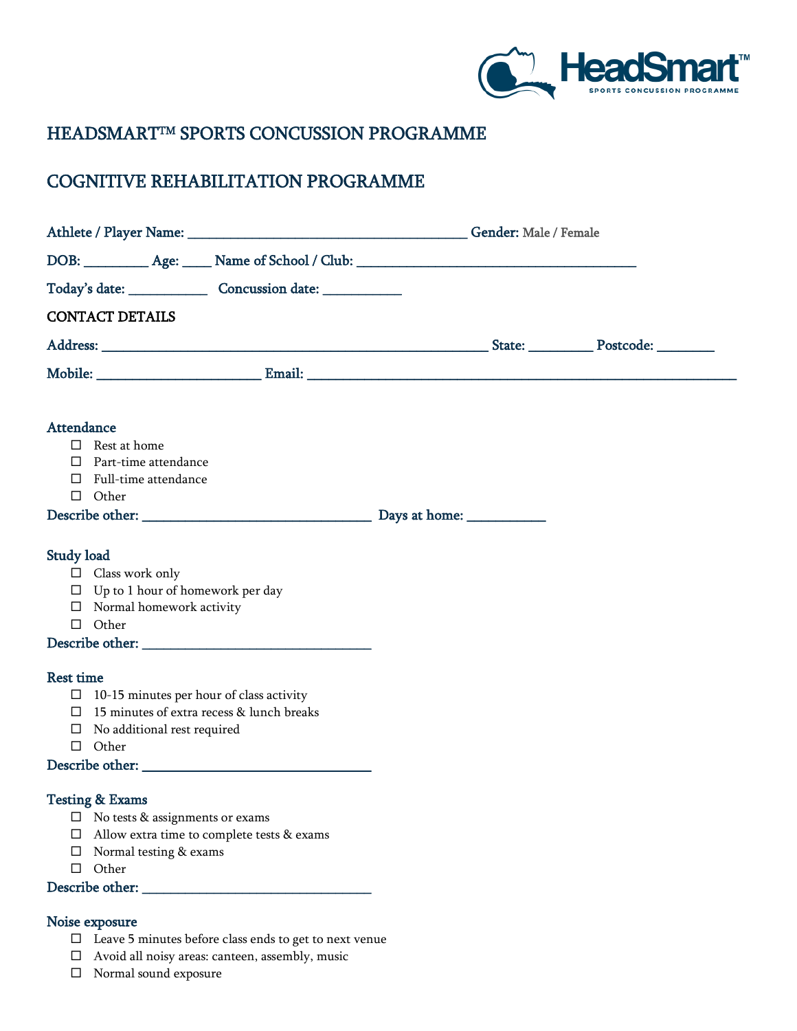

# HEADSMARTTM SPORTS CONCUSSION PROGRAMME

# COGNITIVE REHABILITATION PROGRAMME

| DOB: __________ Age: _____ Name of School / Club: _______________________________                                                                                                             |  |
|-----------------------------------------------------------------------------------------------------------------------------------------------------------------------------------------------|--|
|                                                                                                                                                                                               |  |
| <b>CONTACT DETAILS</b>                                                                                                                                                                        |  |
|                                                                                                                                                                                               |  |
| Mobile: Email: Email: Email: Email: All Annual Annual Annual Annual Annual Annual Annual Annual Annual Annual A                                                                               |  |
| <b>Attendance</b><br>$\qquad \qquad \Box \quad$ Rest at home<br>$\Box$ Part-time attendance<br>$\Box$ Full-time attendance<br>$\Box$ Other                                                    |  |
| Study load<br>$\Box$ Class work only<br>$\square$ Up to 1 hour of homework per day<br>$\Box$ Normal homework activity<br>$\Box$ Other                                                         |  |
| <b>Rest time</b><br>$\Box$ 10-15 minutes per hour of class activity<br>$\Box$ 15 minutes of extra recess & lunch breaks<br>$\Box$ No additional rest required<br>$\Box$ Other                 |  |
| <b>Testing &amp; Exams</b><br>$\Box$ No tests & assignments or exams<br>$\Box$ Allow extra time to complete tests & exams<br>$\Box$ Normal testing & exams<br>$\Box$ Other<br>Describe other: |  |

#### Noise exposure

- $\square$  Leave 5 minutes before class ends to get to next venue
- Avoid all noisy areas: canteen, assembly, music
- $\hfill\Box$  Normal sound exposure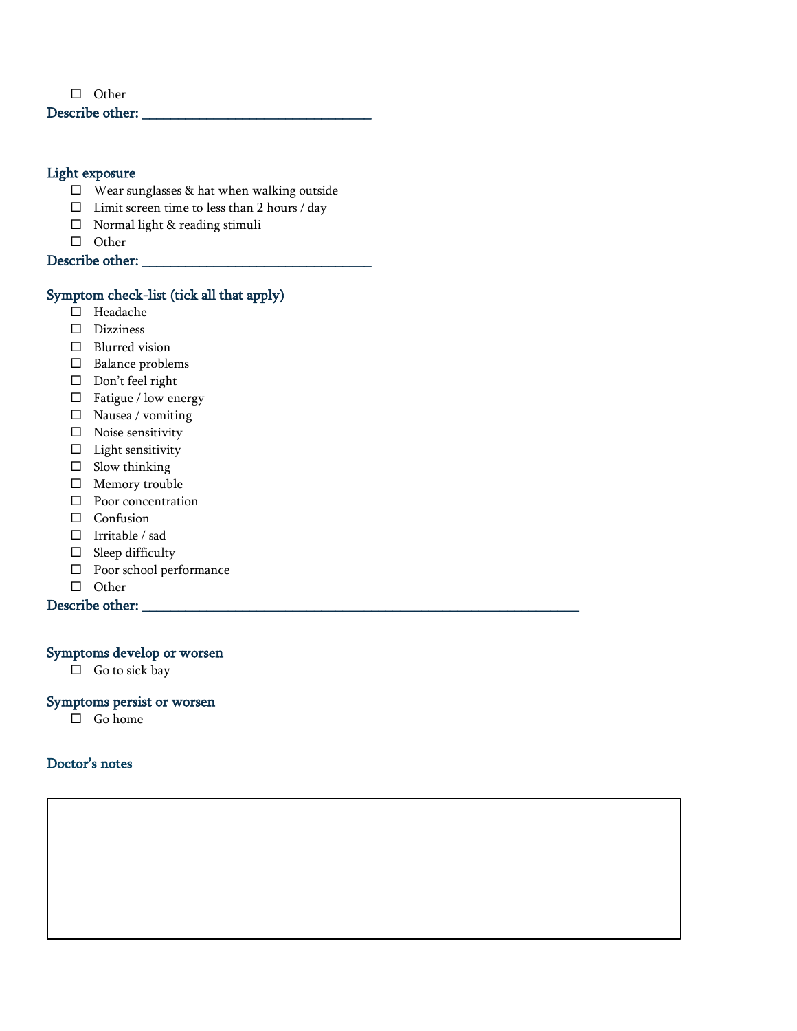$\Box$  Other

### Describe other: \_\_\_\_\_\_\_\_\_\_\_\_\_\_\_\_\_\_\_\_\_\_\_\_\_\_\_\_\_\_\_\_

### Light exposure

- $\square$  Wear sunglasses & hat when walking outside
- $\Box$  <br>Limit screen time to less than 2 hours / day
- □ Normal light & reading stimuli
- □ Other

Describe other:

#### Symptom check-list (tick all that apply)

- □ Headache
- Dizziness
- □ Blurred vision
- $\square$  Balance problems
- $\square$  Don't feel right
- $\square$  Fatigue / low energy
- $\square$  Nausea / vomiting
- $\square$  Noise sensitivity
- $\square$  Light sensitivity
- $\square$  Slow thinking
- Memory trouble
- **D** Poor concentration
- $\Box$  Confusion
- $\Box$  Irritable / sad
- $\square$  Sleep difficulty
- Poor school performance
- $\Box$  Other

Describe other:

#### Symptoms develop or worsen

□ Go to sick bay

#### Symptoms persist or worsen

 $\Box$  Go home

### Doctor's notes